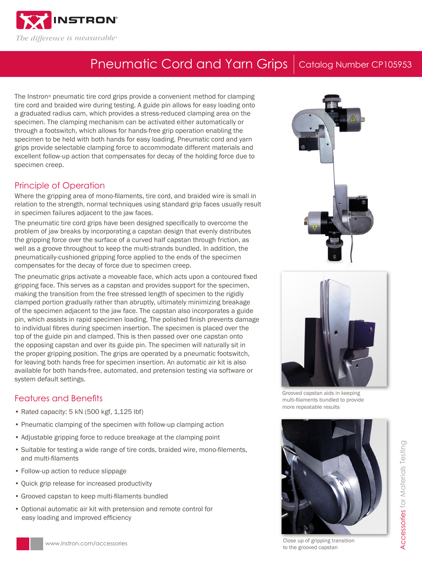

# Pneumatic Cord and Yarn Grips | Catalog Number CP105953

The Instron® pneumatic tire cord grips provide a convenient method for clamping tire cord and braided wire during testing. A guide pin allows for easy loading onto a graduated radius cam, which provides a stress-reduced clamping area on the specimen. The clamping mechanism can be activated either automatically or through a footswitch, which allows for hands-free grip operation enabling the specimen to be held with both hands for easy loading. Pneumatic cord and yarn grips provide selectable clamping force to accommodate different materials and excellent follow-up action that compensates for decay of the holding force due to specimen creep.

#### Principle of Operation

Where the gripping area of mono-filaments, tire cord, and braided wire is small in relation to the strength, normal techniques using standard grip faces usually result in specimen failures adjacent to the jaw faces.

The pneumatic tire cord grips have been designed specifically to overcome the problem of jaw breaks by incorporating a capstan design that evenly distributes the gripping force over the surface of a curved half capstan through friction, as well as a groove throughout to keep the multi-strands bundled. In addition, the pneumatically-cushioned gripping force applied to the ends of the specimen compensates for the decay of force due to specimen creep.

The pneumatic grips activate a moveable face, which acts upon a contoured fixed gripping face. This serves as a capstan and provides support for the specimen, making the transition from the free stressed length of specimen to the rigidly clamped portion gradually rather than abruptly, ultimately minimizing breakage of the specimen adjacent to the jaw face. The capstan also incorporates a guide pin, which assists in rapid specimen loading. The polished finish prevents damage to individual fibres during specimen insertion. The specimen is placed over the top of the guide pin and clamped. This is then passed over one capstan onto the opposing capstan and over its guide pin. The specimen will naturally sit in the proper gripping position. The grips are operated by a pneumatic footswitch, for leaving both hands free for specimen insertion. An automatic air kit is also available for both hands-free, automated, and pretension testing via software or system default settings.

### Features and Benefits

- Rated capacity: 5 kN (500 kgf, 1,125 lbf)
- Pneumatic clamping of the specimen with follow-up clamping action
- Adjustable gripping force to reduce breakage at the clamping point
- Suitable for testing a wide range of tire cords, braided wire, mono-filements, and multi-filaments
- Follow-up action to reduce slippage
- Quick grip release for increased productivity
- Grooved capstan to keep multi-filaments bundled
- Optional automatic air kit with pretension and remote control for easy loading and improved efficiency





Grooved capstan aids in keeping multi-filaments bundled to provide more repeatable results



Close up of gripping transition to the grooved capstan